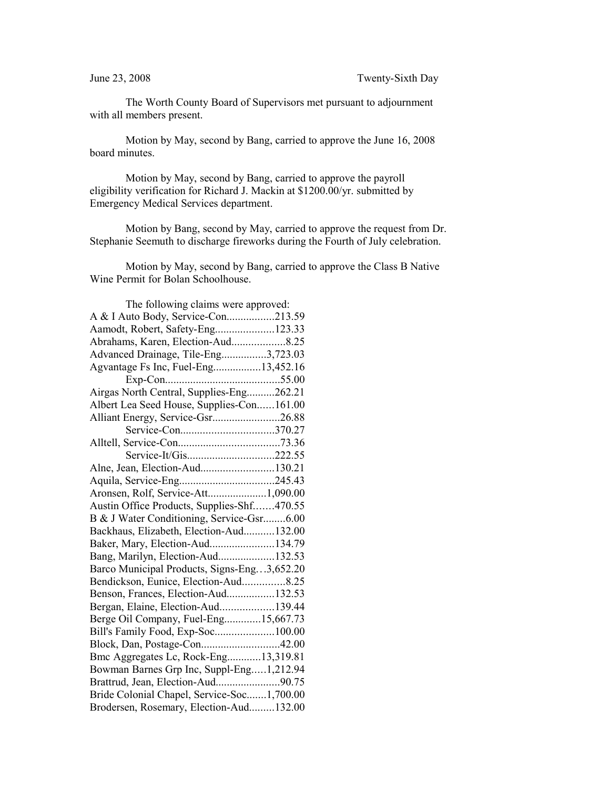The Worth County Board of Supervisors met pursuant to adjournment with all members present.

Motion by May, second by Bang, carried to approve the June 16, 2008 board minutes.

Motion by May, second by Bang, carried to approve the payroll eligibility verification for Richard J. Mackin at \$1200.00/yr. submitted by Emergency Medical Services department.

Motion by Bang, second by May, carried to approve the request from Dr. Stephanie Seemuth to discharge fireworks during the Fourth of July celebration.

Motion by May, second by Bang, carried to approve the Class B Native Wine Permit for Bolan Schoolhouse.

| The following claims were approved:         |  |
|---------------------------------------------|--|
| A & I Auto Body, Service-Con213.59          |  |
| Aamodt, Robert, Safety-Eng123.33            |  |
| Abrahams, Karen, Election-Aud8.25           |  |
| Advanced Drainage, Tile-Eng3,723.03         |  |
| Agvantage Fs Inc, Fuel-Eng13,452.16         |  |
|                                             |  |
| Airgas North Central, Supplies-Eng262.21    |  |
| Albert Lea Seed House, Supplies-Con161.00   |  |
| Alliant Energy, Service-Gsr26.88            |  |
| Service-Con370.27                           |  |
|                                             |  |
| Service-It/Gis222.55                        |  |
| Alne, Jean, Election-Aud130.21              |  |
|                                             |  |
| Aronsen, Rolf, Service-Att1,090.00          |  |
| Austin Office Products, Supplies-Shf470.55  |  |
| B & J Water Conditioning, Service-Gsr6.00   |  |
| Backhaus, Elizabeth, Election-Aud132.00     |  |
| Baker, Mary, Election-Aud134.79             |  |
| Bang, Marilyn, Election-Aud132.53           |  |
| Barco Municipal Products, Signs-Eng3,652.20 |  |
| Bendickson, Eunice, Election-Aud8.25        |  |
| Benson, Frances, Election-Aud132.53         |  |
| Bergan, Elaine, Election-Aud139.44          |  |
| Berge Oil Company, Fuel-Eng15,667.73        |  |
| Bill's Family Food, Exp-Soc100.00           |  |
|                                             |  |
| Bmc Aggregates Lc, Rock-Eng13,319.81        |  |
| Bowman Barnes Grp Inc, Suppl-Eng1,212.94    |  |
| Brattrud, Jean, Election-Aud90.75           |  |
| Bride Colonial Chapel, Service-Soc1,700.00  |  |
| Brodersen, Rosemary, Election-Aud132.00     |  |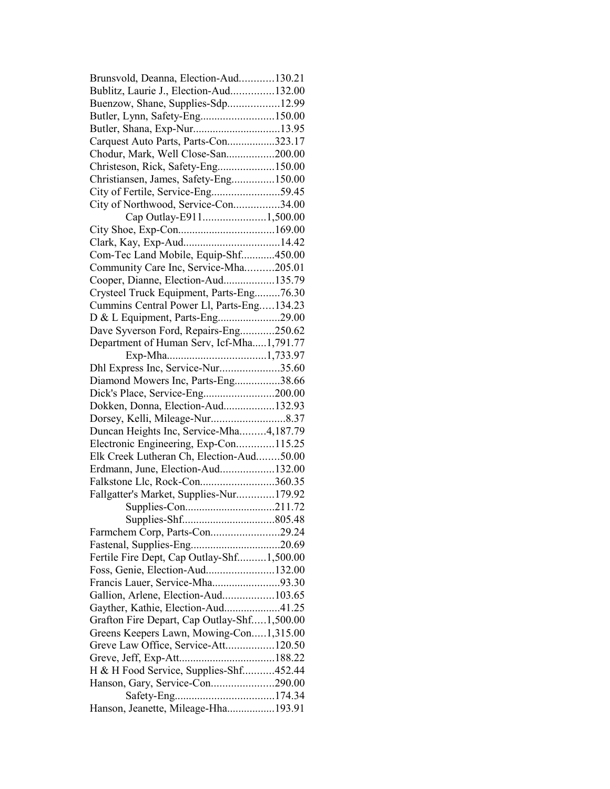| Brunsvold, Deanna, Election-Aud130.21       |  |
|---------------------------------------------|--|
| Bublitz, Laurie J., Election-Aud132.00      |  |
| Buenzow, Shane, Supplies-Sdp12.99           |  |
| Butler, Lynn, Safety-Eng150.00              |  |
|                                             |  |
| Carquest Auto Parts, Parts-Con323.17        |  |
| Chodur, Mark, Well Close-San200.00          |  |
| Christeson, Rick, Safety-Eng150.00          |  |
| Christiansen, James, Safety-Eng150.00       |  |
| City of Fertile, Service-Eng59.45           |  |
| City of Northwood, Service-Con34.00         |  |
| Cap Outlay-E9111,500.00                     |  |
|                                             |  |
|                                             |  |
| Com-Tec Land Mobile, Equip-Shf450.00        |  |
| Community Care Inc, Service-Mha205.01       |  |
| Cooper, Dianne, Election-Aud135.79          |  |
| Crysteel Truck Equipment, Parts-Eng76.30    |  |
| Cummins Central Power Ll, Parts-Eng134.23   |  |
| D & L Equipment, Parts-Eng29.00             |  |
| Dave Syverson Ford, Repairs-Eng250.62       |  |
| Department of Human Serv, Icf-Mha1,791.77   |  |
|                                             |  |
| Dhl Express Inc, Service-Nur35.60           |  |
| Diamond Mowers Inc, Parts-Eng38.66          |  |
|                                             |  |
| Dokken, Donna, Election-Aud132.93           |  |
|                                             |  |
| Duncan Heights Inc, Service-Mha4,187.79     |  |
| Electronic Engineering, Exp-Con115.25       |  |
| Elk Creek Lutheran Ch, Election-Aud50.00    |  |
| Erdmann, June, Election-Aud132.00           |  |
|                                             |  |
| Falkstone Llc, Rock-Con360.35               |  |
| Fallgatter's Market, Supplies-Nur179.92     |  |
|                                             |  |
|                                             |  |
| Farmchem Corp, Parts-Con29.24               |  |
|                                             |  |
| Fertile Fire Dept, Cap Outlay-Shf1,500.00   |  |
| Foss, Genie, Election-Aud132.00             |  |
| Francis Lauer, Service-Mha93.30             |  |
| Gallion, Arlene, Election-Aud103.65         |  |
| Gayther, Kathie, Election-Aud41.25          |  |
| Grafton Fire Depart, Cap Outlay-Shf1,500.00 |  |
| Greens Keepers Lawn, Mowing-Con1,315.00     |  |
| Greve Law Office, Service-Att120.50         |  |
|                                             |  |
| H & H Food Service, Supplies-Shf452.44      |  |
| Hanson, Gary, Service-Con290.00             |  |
|                                             |  |
| Hanson, Jeanette, Mileage-Hha193.91         |  |
|                                             |  |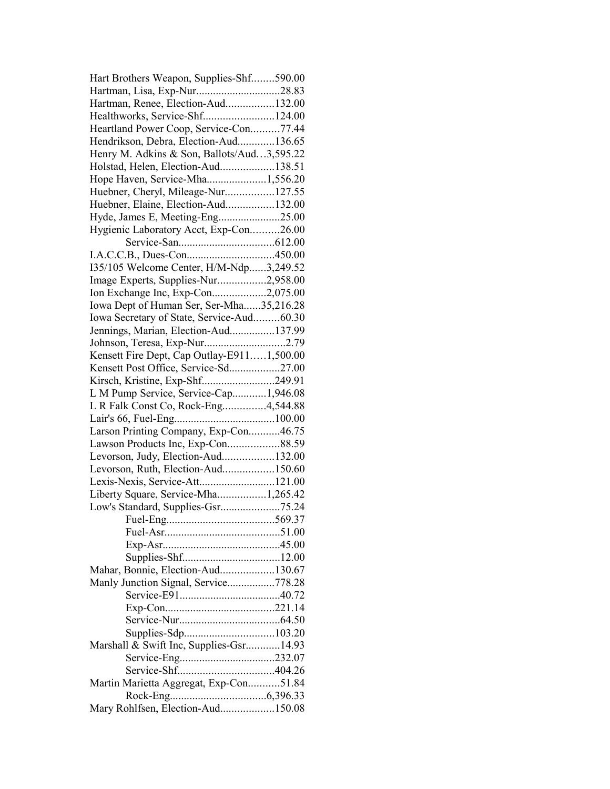| Hart Brothers Weapon, Supplies-Shf590.00   |  |
|--------------------------------------------|--|
| Hartman, Lisa, Exp-Nur28.83                |  |
| Hartman, Renee, Election-Aud132.00         |  |
| Healthworks, Service-Shf124.00             |  |
| Heartland Power Coop, Service-Con77.44     |  |
| Hendrikson, Debra, Election-Aud136.65      |  |
| Henry M. Adkins & Son, Ballots/Aud3,595.22 |  |
| Holstad, Helen, Election-Aud138.51         |  |
| Hope Haven, Service-Mha1,556.20            |  |
| Huebner, Cheryl, Mileage-Nur127.55         |  |
| Huebner, Elaine, Election-Aud132.00        |  |
| Hyde, James E, Meeting-Eng25.00            |  |
| Hygienic Laboratory Acct, Exp-Con26.00     |  |
|                                            |  |
|                                            |  |
|                                            |  |
| 135/105 Welcome Center, H/M-Ndp3,249.52    |  |
| Image Experts, Supplies-Nur2,958.00        |  |
| Ion Exchange Inc, Exp-Con2,075.00          |  |
| Iowa Dept of Human Ser, Ser-Mha35,216.28   |  |
| Iowa Secretary of State, Service-Aud60.30  |  |
| Jennings, Marian, Election-Aud137.99       |  |
| Johnson, Teresa, Exp-Nur2.79               |  |
| Kensett Fire Dept, Cap Outlay-E9111,500.00 |  |
| Kensett Post Office, Service-Sd27.00       |  |
| Kirsch, Kristine, Exp-Shf249.91            |  |
| L M Pump Service, Service-Cap1,946.08      |  |
| L R Falk Const Co, Rock-Eng4,544.88        |  |
|                                            |  |
| Larson Printing Company, Exp-Con46.75      |  |
| Lawson Products Inc, Exp-Con88.59          |  |
| Levorson, Judy, Election-Aud132.00         |  |
| Levorson, Ruth, Election-Aud150.60         |  |
| Lexis-Nexis, Service-Att121.00             |  |
| Liberty Square, Service-Mha1,265.42        |  |
| Low's Standard, Supplies-Gsr75.24          |  |
| 569.37<br>Fuel-Eng                         |  |
|                                            |  |
|                                            |  |
|                                            |  |
| Mahar, Bonnie, Election-Aud130.67          |  |
|                                            |  |
| Manly Junction Signal, Service778.28       |  |
|                                            |  |
|                                            |  |
|                                            |  |
|                                            |  |
| Marshall & Swift Inc, Supplies-Gsr14.93    |  |
|                                            |  |
|                                            |  |
| Martin Marietta Aggregat, Exp-Con51.84     |  |
|                                            |  |
| Mary Rohlfsen, Election-Aud150.08          |  |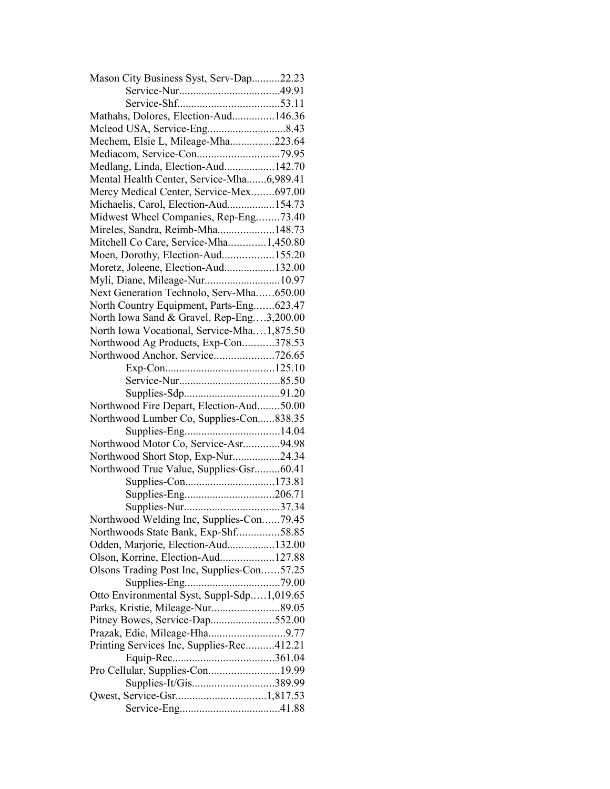| Mason City Business Syst, Serv-Dap22.23    |  |
|--------------------------------------------|--|
|                                            |  |
|                                            |  |
| Mathahs, Dolores, Election-Aud146.36       |  |
|                                            |  |
| Mechem, Elsie L, Mileage-Mha223.64         |  |
|                                            |  |
| Medlang, Linda, Election-Aud142.70         |  |
| Mental Health Center, Service-Mha6,989.41  |  |
| Mercy Medical Center, Service-Mex697.00    |  |
| Michaelis, Carol, Election-Aud154.73       |  |
| Midwest Wheel Companies, Rep-Eng73.40      |  |
| Mireles, Sandra, Reimb-Mha148.73           |  |
| Mitchell Co Care, Service-Mha1,450.80      |  |
| Moen, Dorothy, Election-Aud155.20          |  |
| Moretz, Joleene, Election-Aud132.00        |  |
| Myli, Diane, Mileage-Nur10.97              |  |
| Next Generation Technolo, Serv-Mha650.00   |  |
| North Country Equipment, Parts-Eng623.47   |  |
| North Iowa Sand & Gravel, Rep-Eng3,200.00  |  |
| North Iowa Vocational, Service-Mha1,875.50 |  |
| Northwood Ag Products, Exp-Con378.53       |  |
| Northwood Anchor, Service726.65            |  |
|                                            |  |
|                                            |  |
|                                            |  |
| Northwood Fire Depart, Election-Aud50.00   |  |
| Northwood Lumber Co, Supplies-Con838.35    |  |
|                                            |  |
| Northwood Motor Co, Service-Asr94.98       |  |
| Northwood Short Stop, Exp-Nur24.34         |  |
| Northwood True Value, Supplies-Gsr60.41    |  |
|                                            |  |
|                                            |  |
|                                            |  |
| Northwood Welding Inc, Supplies-Con79.45   |  |
| Northwoods State Bank, Exp-Shf58.85        |  |
| Odden, Marjorie, Election-Aud132.00        |  |
| Olson, Korrine, Election-Aud127.88         |  |
| Olsons Trading Post Inc, Supplies-Con57.25 |  |
|                                            |  |
| Otto Environmental Syst, Suppl-Sdp1,019.65 |  |
|                                            |  |
| Pitney Bowes, Service-Dap552.00            |  |
| Prazak, Edie, Mileage-Hha9.77              |  |
| Printing Services Inc, Supplies-Rec412.21  |  |
|                                            |  |
| Pro Cellular, Supplies-Con19.99            |  |
| Supplies-It/Gis389.99                      |  |
|                                            |  |
|                                            |  |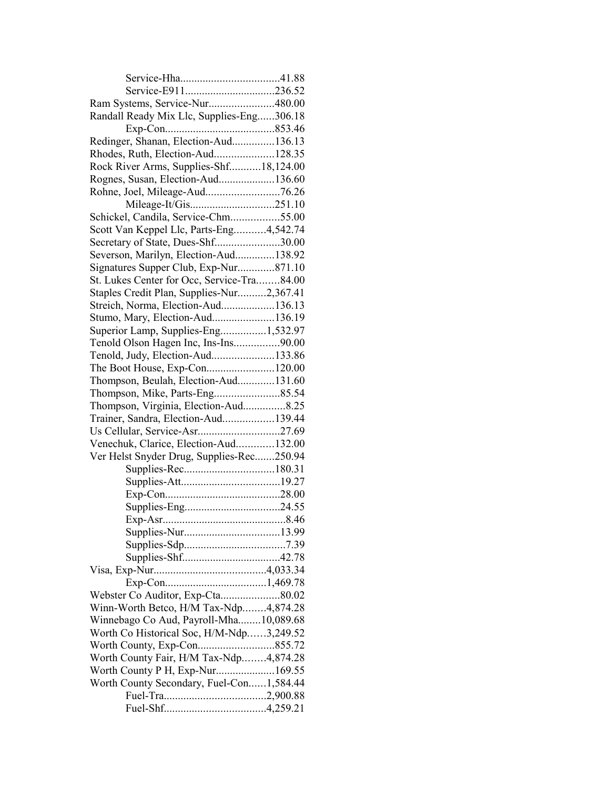| Ram Systems, Service-Nur480.00             |  |
|--------------------------------------------|--|
| Randall Ready Mix Llc, Supplies-Eng306.18  |  |
|                                            |  |
| Redinger, Shanan, Election-Aud136.13       |  |
| Rhodes, Ruth, Election-Aud128.35           |  |
| Rock River Arms, Supplies-Shf18,124.00     |  |
| Rognes, Susan, Election-Aud136.60          |  |
| Rohne, Joel, Mileage-Aud76.26              |  |
|                                            |  |
| Schickel, Candila, Service-Chm55.00        |  |
| Scott Van Keppel Llc, Parts-Eng4,542.74    |  |
| Secretary of State, Dues-Shf30.00          |  |
| Severson, Marilyn, Election-Aud138.92      |  |
| Signatures Supper Club, Exp-Nur871.10      |  |
| St. Lukes Center for Occ, Service-Tra84.00 |  |
| Staples Credit Plan, Supplies-Nur2,367.41  |  |
| Streich, Norma, Election-Aud136.13         |  |
|                                            |  |
| Stumo, Mary, Election-Aud136.19            |  |
| Superior Lamp, Supplies-Eng1,532.97        |  |
| Tenold Olson Hagen Inc, Ins-Ins90.00       |  |
| Tenold, Judy, Election-Aud133.86           |  |
| The Boot House, Exp-Con120.00              |  |
| Thompson, Beulah, Election-Aud131.60       |  |
|                                            |  |
| Thompson, Virginia, Election-Aud8.25       |  |
| Trainer, Sandra, Election-Aud139.44        |  |
|                                            |  |
| Venechuk, Clarice, Election-Aud132.00      |  |
| Ver Helst Snyder Drug, Supplies-Rec250.94  |  |
|                                            |  |
|                                            |  |
|                                            |  |
|                                            |  |
|                                            |  |
|                                            |  |
|                                            |  |
|                                            |  |
|                                            |  |
|                                            |  |
| Webster Co Auditor, Exp-Cta80.02           |  |
| Winn-Worth Betco, H/M Tax-Ndp4,874.28      |  |
| Winnebago Co Aud, Payroll-Mha10,089.68     |  |
| Worth Co Historical Soc, H/M-Ndp3,249.52   |  |
|                                            |  |
| Worth County Fair, H/M Tax-Ndp4,874.28     |  |
| Worth County P H, Exp-Nur169.55            |  |
| Worth County Secondary, Fuel-Con1,584.44   |  |
|                                            |  |
|                                            |  |
|                                            |  |